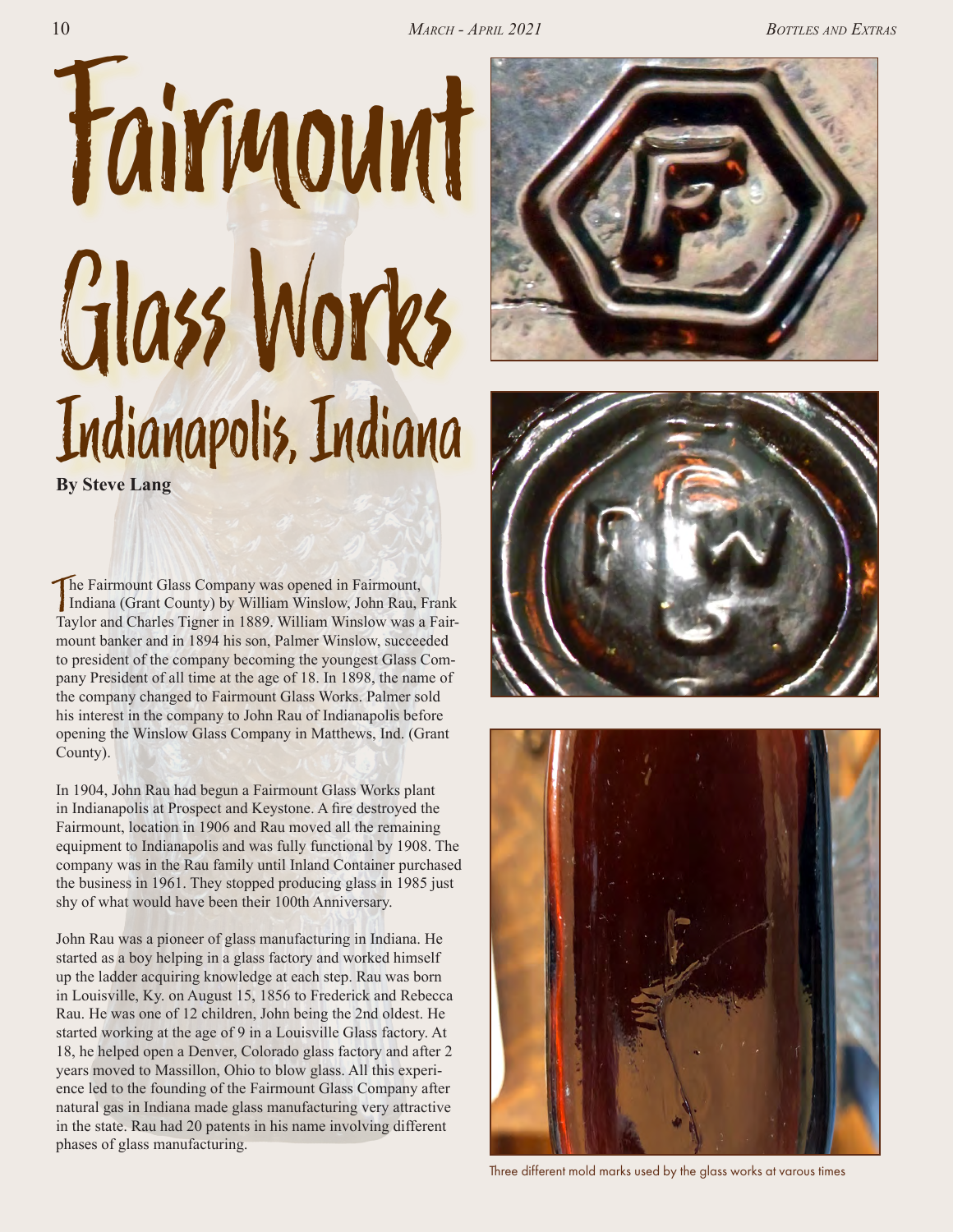





Three different mold marks used by the glass works at varous times

**By Steve Lang**

The Fairmount Glass Company was opened in Fairmount,<br>Indiana (Grant County) by William Winslow, John Rau, I Indiana (Grant County) by William Winslow, John Rau, Frank Taylor and Charles Tigner in 1889. William Winslow was a Fairmount banker and in 1894 his son, Palmer Winslow, succeeded to president of the company becoming the youngest Glass Company President of all time at the age of 18. In 1898, the name of the company changed to Fairmount Glass Works. Palmer sold his interest in the company to John Rau of Indianapolis before opening the Winslow Glass Company in Matthews, Ind. (Grant County).

In 1904, John Rau had begun a Fairmount Glass Works plant in Indianapolis at Prospect and Keystone. A fire destroyed the Fairmount, location in 1906 and Rau moved all the remaining equipment to Indianapolis and was fully functional by 1908. The company was in the Rau family until Inland Container purchased the business in 1961. They stopped producing glass in 1985 just shy of what would have been their 100th Anniversary.

John Rau was a pioneer of glass manufacturing in Indiana. He started as a boy helping in a glass factory and worked himself up the ladder acquiring knowledge at each step. Rau was born in Louisville, Ky. on August 15, 1856 to Frederick and Rebecca Rau. He was one of 12 children, John being the 2nd oldest. He started working at the age of 9 in a Louisville Glass factory. At 18, he helped open a Denver, Colorado glass factory and after 2 years moved to Massillon, Ohio to blow glass. All this experience led to the founding of the Fairmount Glass Company after natural gas in Indiana made glass manufacturing very attractive in the state. Rau had 20 patents in his name involving different phases of glass manufacturing.